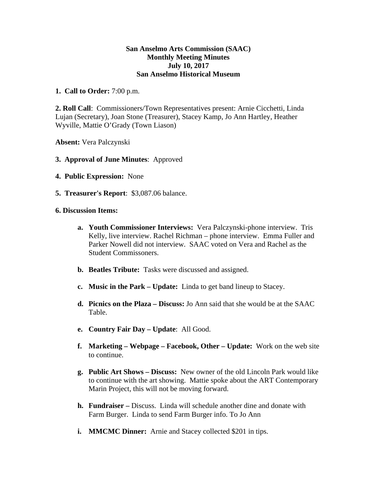## **San Anselmo Arts Commission (SAAC) Monthly Meeting Minutes July 10, 2017 San Anselmo Historical Museum**

## **1. Call to Order:** 7:00 p.m.

**2. Roll Call**: Commissioners/Town Representatives present: Arnie Cicchetti, Linda Lujan (Secretary), Joan Stone (Treasurer), Stacey Kamp, Jo Ann Hartley, Heather Wyville, Mattie O'Grady (Town Liason)

**Absent:** Vera Palczynski

- **3. Approval of June Minutes**: Approved
- **4. Public Expression:** None
- **5. Treasurer's Report**: \$3,087.06 balance.
- **6. Discussion Items:** 
	- **a. Youth Commissioner Interviews:** Vera Palczynski-phone interview. Tris Kelly, live interview. Rachel Richman – phone interview. Emma Fuller and Parker Nowell did not interview. SAAC voted on Vera and Rachel as the Student Commissoners.
	- **b. Beatles Tribute:** Tasks were discussed and assigned.
	- **c. Music in the Park Update:** Linda to get band lineup to Stacey.
	- **d. Picnics on the Plaza Discuss:** Jo Ann said that she would be at the SAAC Table.
	- **e. Country Fair Day Update**: All Good.
	- **f. Marketing Webpage Facebook, Other Update:** Work on the web site to continue.
	- **g. Public Art Shows Discuss:** New owner of the old Lincoln Park would like to continue with the art showing. Mattie spoke about the ART Contemporary Marin Project, this will not be moving forward.
	- **h. Fundraiser –** Discuss. Linda will schedule another dine and donate with Farm Burger. Linda to send Farm Burger info. To Jo Ann
	- **i. MMCMC Dinner:** Arnie and Stacey collected \$201 in tips.